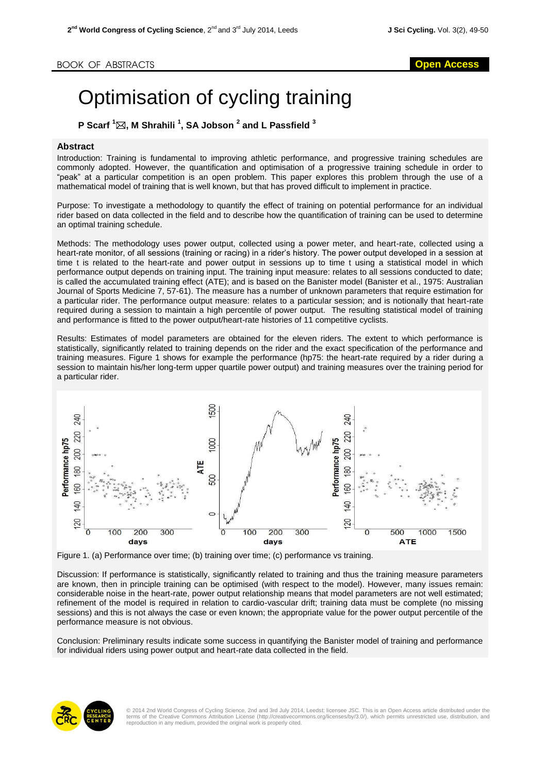## Optimisation of cycling training

**P Scarf <sup>1</sup>, M Shrahili <sup>1</sup> , SA Jobson <sup>2</sup> and L Passfield <sup>3</sup>**

## **Abstract**

Introduction: Training is fundamental to improving athletic performance, and progressive training schedules are commonly adopted. However, the quantification and optimisation of a progressive training schedule in order to "peak" at a particular competition is an open problem. This paper explores this problem through the use of a mathematical model of training that is well known, but that has proved difficult to implement in practice.

Purpose: To investigate a methodology to quantify the effect of training on potential performance for an individual rider based on data collected in the field and to describe how the quantification of training can be used to determine an optimal training schedule.

Methods: The methodology uses power output, collected using a power meter, and heart-rate, collected using a heart-rate monitor, of all sessions (training or racing) in a rider's history. The power output developed in a session at time t is related to the heart-rate and power output in sessions up to time t using a statistical model in which performance output depends on training input. The training input measure: relates to all sessions conducted to date; is called the accumulated training effect (ATE); and is based on the Banister model (Banister et al., 1975: Australian Journal of Sports Medicine 7, 57-61). The measure has a number of unknown parameters that require estimation for a particular rider. The performance output measure: relates to a particular session; and is notionally that heart-rate required during a session to maintain a high percentile of power output. The resulting statistical model of training and performance is fitted to the power output/heart-rate histories of 11 competitive cyclists.

Results: Estimates of model parameters are obtained for the eleven riders. The extent to which performance is statistically, significantly related to training depends on the rider and the exact specification of the performance and training measures. Figure 1 shows for example the performance (hp75: the heart-rate required by a rider during a session to maintain his/her long-term upper quartile power output) and training measures over the training period for a particular rider.



Figure 1. (a) Performance over time; (b) training over time; (c) performance vs training.

Discussion: If performance is statistically, significantly related to training and thus the training measure parameters are known, then in principle training can be optimised (with respect to the model). However, many issues remain: considerable noise in the heart-rate, power output relationship means that model parameters are not well estimated; refinement of the model is required in relation to cardio-vascular drift; training data must be complete (no missing sessions) and this is not always the case or even known; the appropriate value for the power output percentile of the performance measure is not obvious.

Conclusion: Preliminary results indicate some success in quantifying the Banister model of training and performance for individual riders using power output and heart-rate data collected in the field.



© 2014 2nd World Congress of Cycling Science, 2nd and 3rd July 2014, Leedst; licensee JSC. This is an Open Access article distributed under the<br>terms of the Creative Commons Attribution License (http://creativecommons.org/ reproduction in any medium, provided the original work is properly cited.